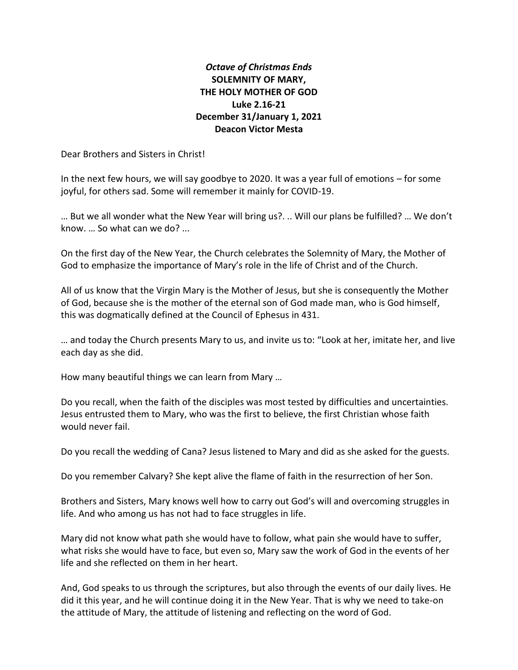## *Octave of Christmas Ends* **SOLEMNITY OF MARY, THE HOLY MOTHER OF GOD Luke 2.16-21 December 31/January 1, 2021 Deacon Victor Mesta**

Dear Brothers and Sisters in Christ!

In the next few hours, we will say goodbye to 2020. It was a year full of emotions – for some joyful, for others sad. Some will remember it mainly for COVID-19.

… But we all wonder what the New Year will bring us?. .. Will our plans be fulfilled? … We don't know. … So what can we do? ...

On the first day of the New Year, the Church celebrates the Solemnity of Mary, the Mother of God to emphasize the importance of Mary's role in the life of Christ and of the Church.

All of us know that the Virgin Mary is the Mother of Jesus, but she is consequently the Mother of God, because she is the mother of the eternal son of God made man, who is God himself, this was dogmatically defined at the Council of Ephesus in 431.

… and today the Church presents Mary to us, and invite us to: "Look at her, imitate her, and live each day as she did.

How many beautiful things we can learn from Mary …

Do you recall, when the faith of the disciples was most tested by difficulties and uncertainties. Jesus entrusted them to Mary, who was the first to believe, the first Christian whose faith would never fail.

Do you recall the wedding of Cana? Jesus listened to Mary and did as she asked for the guests.

Do you remember Calvary? She kept alive the flame of faith in the resurrection of her Son.

Brothers and Sisters, Mary knows well how to carry out God's will and overcoming struggles in life. And who among us has not had to face struggles in life.

Mary did not know what path she would have to follow, what pain she would have to suffer, what risks she would have to face, but even so, Mary saw the work of God in the events of her life and she reflected on them in her heart.

And, God speaks to us through the scriptures, but also through the events of our daily lives. He did it this year, and he will continue doing it in the New Year. That is why we need to take-on the attitude of Mary, the attitude of listening and reflecting on the word of God.